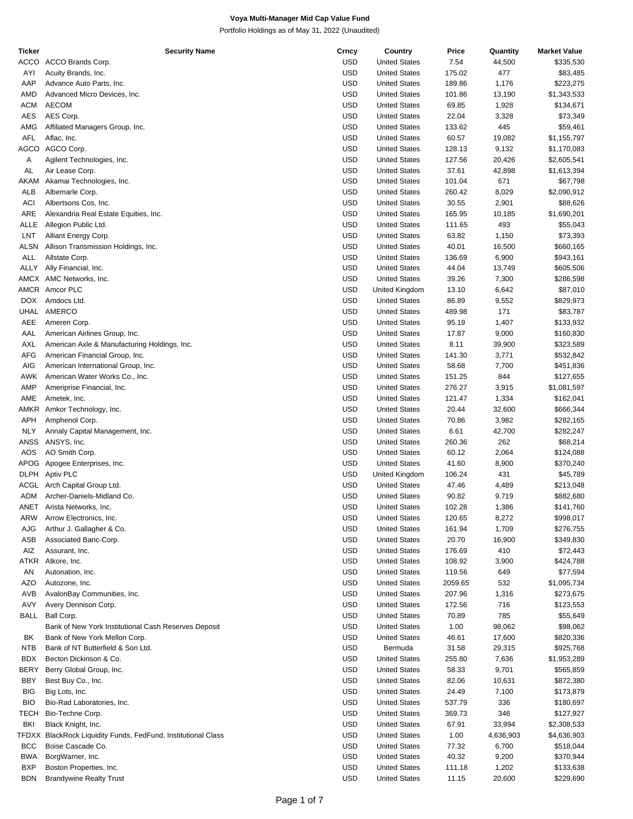| <b>Ticker</b> | <b>Security Name</b>                                    | Crncy      | Country              | Price   | Quantity  | <b>Market Value</b> |
|---------------|---------------------------------------------------------|------------|----------------------|---------|-----------|---------------------|
| ACCO          | ACCO Brands Corp.                                       | <b>USD</b> | <b>United States</b> | 7.54    | 44,500    | \$335,530           |
| AYI           | Acuity Brands, Inc.                                     | <b>USD</b> | <b>United States</b> | 175.02  | 477       | \$83,485            |
| AAP           | Advance Auto Parts, Inc.                                | <b>USD</b> | <b>United States</b> | 189.86  | 1,176     | \$223,275           |
| AMD           | Advanced Micro Devices, Inc.                            | <b>USD</b> | <b>United States</b> | 101.86  | 13,190    | \$1,343,533         |
| <b>ACM</b>    | <b>AECOM</b>                                            | <b>USD</b> | <b>United States</b> | 69.85   | 1,928     | \$134,671           |
| <b>AES</b>    | AES Corp.                                               | <b>USD</b> | <b>United States</b> | 22.04   | 3,328     | \$73,349            |
| AMG           | Affiliated Managers Group, Inc.                         | <b>USD</b> | <b>United States</b> | 133.62  | 445       | \$59,461            |
| <b>AFL</b>    | Aflac, Inc.                                             | <b>USD</b> | <b>United States</b> | 60.57   | 19,082    | \$1,155,797         |
| AGCO          | AGCO Corp.                                              | <b>USD</b> |                      |         |           |                     |
|               |                                                         |            | <b>United States</b> | 128.13  | 9,132     | \$1,170,083         |
| Α             | Agilent Technologies, Inc.                              | <b>USD</b> | <b>United States</b> | 127.56  | 20,426    | \$2,605,541         |
| AL            | Air Lease Corp.                                         | <b>USD</b> | <b>United States</b> | 37.61   | 42,898    | \$1,613,394         |
| AKAM          | Akamai Technologies, Inc.                               | <b>USD</b> | <b>United States</b> | 101.04  | 671       | \$67,798            |
| ALB           | Albemarle Corp.                                         | <b>USD</b> | <b>United States</b> | 260.42  | 8,029     | \$2,090,912         |
| ACI           | Albertsons Cos, Inc.                                    | <b>USD</b> | <b>United States</b> | 30.55   | 2,901     | \$88,626            |
| ARE           | Alexandria Real Estate Equities, Inc.                   | <b>USD</b> | <b>United States</b> | 165.95  | 10,185    | \$1,690,201         |
| ALLE          | Allegion Public Ltd.                                    | <b>USD</b> | <b>United States</b> | 111.65  | 493       | \$55,043            |
| LNT           | Alliant Energy Corp.                                    | <b>USD</b> | <b>United States</b> | 63.82   | 1,150     | \$73,393            |
| ALSN          | Allison Transmission Holdings, Inc.                     | <b>USD</b> | <b>United States</b> | 40.01   | 16,500    | \$660,165           |
| ALL           | Allstate Corp.                                          | <b>USD</b> | <b>United States</b> | 136.69  | 6,900     | \$943,161           |
| ALLY          | Ally Financial, Inc.                                    | <b>USD</b> | <b>United States</b> | 44.04   | 13,749    | \$605,506           |
|               | AMCX AMC Networks, Inc.                                 | <b>USD</b> | <b>United States</b> | 39.26   | 7,300     | \$286,598           |
|               | AMCR Amcor PLC                                          | <b>USD</b> | United Kingdom       | 13.10   | 6,642     | \$87,010            |
| DOX.          | Amdocs Ltd.                                             | <b>USD</b> | <b>United States</b> | 86.89   | 9,552     | \$829,973           |
| UHAL          | AMERCO                                                  | <b>USD</b> | <b>United States</b> | 489.98  | 171       | \$83,787            |
| AEE           | Ameren Corp.                                            | <b>USD</b> | <b>United States</b> | 95.19   |           | \$133,932           |
|               |                                                         |            |                      |         | 1,407     |                     |
| AAL           | American Airlines Group, Inc.                           | <b>USD</b> | <b>United States</b> | 17.87   | 9,000     | \$160,830           |
| AXL           | American Axle & Manufacturing Holdings, Inc.            | <b>USD</b> | <b>United States</b> | 8.11    | 39,900    | \$323,589           |
| AFG           | American Financial Group, Inc.                          | <b>USD</b> | <b>United States</b> | 141.30  | 3,771     | \$532,842           |
| AIG           | American International Group, Inc.                      | <b>USD</b> | <b>United States</b> | 58.68   | 7,700     | \$451,836           |
| AWK           | American Water Works Co., Inc.                          | <b>USD</b> | <b>United States</b> | 151.25  | 844       | \$127,655           |
| AMP           | Ameriprise Financial, Inc.                              | <b>USD</b> | <b>United States</b> | 276.27  | 3,915     | \$1,081,597         |
| AME           | Ametek, Inc.                                            | <b>USD</b> | <b>United States</b> | 121.47  | 1,334     | \$162,041           |
| AMKR          | Amkor Technology, Inc.                                  | <b>USD</b> | <b>United States</b> | 20.44   | 32,600    | \$666,344           |
| APH           | Amphenol Corp.                                          | <b>USD</b> | <b>United States</b> | 70.86   | 3,982     | \$282,165           |
| <b>NLY</b>    | Annaly Capital Management, Inc.                         | <b>USD</b> | <b>United States</b> | 6.61    | 42,700    | \$282,247           |
| ANSS          | ANSYS, Inc.                                             | <b>USD</b> | <b>United States</b> | 260.36  | 262       | \$68,214            |
| AOS           | AO Smith Corp.                                          | <b>USD</b> | <b>United States</b> | 60.12   | 2,064     | \$124,088           |
| APOG          | Apogee Enterprises, Inc.                                | <b>USD</b> | <b>United States</b> | 41.60   | 8,900     | \$370,240           |
| DLPH          | <b>Aptiv PLC</b>                                        | <b>USD</b> | United Kingdom       | 106.24  | 431       | \$45,789            |
| ACGL          | Arch Capital Group Ltd.                                 | <b>USD</b> | <b>United States</b> | 47.46   | 4,489     | \$213,048           |
| <b>ADM</b>    | Archer-Daniels-Midland Co.                              | <b>USD</b> | <b>United States</b> | 90.82   | 9,719     | \$882,680           |
|               |                                                         |            |                      |         |           |                     |
| ANET          | Arista Networks, Inc.                                   | <b>USD</b> | <b>United States</b> | 102.28  | 1,386     | \$141,760           |
| ARW           | Arrow Electronics, Inc.                                 | <b>USD</b> | <b>United States</b> | 120.65  | 8,272     | \$998,017           |
| AJG           | Arthur J. Gallagher & Co.                               | <b>USD</b> | <b>United States</b> | 161.94  | 1,709     | \$276,755           |
| ASB           | Associated Banc-Corp.                                   | <b>USD</b> | <b>United States</b> | 20.70   | 16,900    | \$349,830           |
| AIZ           | Assurant, Inc.                                          | <b>USD</b> | <b>United States</b> | 176.69  | 410       | \$72,443            |
| ATKR          | Atkore, Inc.                                            | <b>USD</b> | <b>United States</b> | 108.92  | 3,900     | \$424,788           |
| AN            | Autonation, Inc.                                        | <b>USD</b> | <b>United States</b> | 119.56  | 649       | \$77,594            |
| AZO           | Autozone, Inc.                                          | <b>USD</b> | <b>United States</b> | 2059.65 | 532       | \$1,095,734         |
| AVB           | AvalonBay Communities, Inc.                             | <b>USD</b> | <b>United States</b> | 207.96  | 1,316     | \$273,675           |
| AVY           | Avery Dennison Corp.                                    | <b>USD</b> | <b>United States</b> | 172.56  | 716       | \$123,553           |
| <b>BALL</b>   | Ball Corp.                                              | <b>USD</b> | <b>United States</b> | 70.89   | 785       | \$55,649            |
|               | Bank of New York Institutional Cash Reserves Deposit    | <b>USD</b> | <b>United States</b> | 1.00    | 98,062    | \$98,062            |
| BK            | Bank of New York Mellon Corp.                           | <b>USD</b> | <b>United States</b> | 46.61   | 17,600    | \$820,336           |
| <b>NTB</b>    | Bank of NT Butterfield & Son Ltd.                       | <b>USD</b> | Bermuda              | 31.58   | 29,315    | \$925,768           |
| BDX.          | Becton Dickinson & Co.                                  | <b>USD</b> | <b>United States</b> | 255.80  | 7,636     | \$1,953,289         |
|               |                                                         | <b>USD</b> |                      |         |           |                     |
| BERY          | Berry Global Group, Inc.                                |            | <b>United States</b> | 58.33   | 9,701     | \$565,859           |
| BBY           | Best Buy Co., Inc.                                      | <b>USD</b> | <b>United States</b> | 82.06   | 10,631    | \$872,380           |
| <b>BIG</b>    | Big Lots, Inc.                                          | <b>USD</b> | <b>United States</b> | 24.49   | 7,100     | \$173,879           |
| <b>BIO</b>    | Bio-Rad Laboratories, Inc.                              | <b>USD</b> | <b>United States</b> | 537.79  | 336       | \$180,697           |
| TECH          | Bio-Techne Corp.                                        | <b>USD</b> | <b>United States</b> | 369.73  | 346       | \$127,927           |
| BKI           | Black Knight, Inc.                                      | <b>USD</b> | <b>United States</b> | 67.91   | 33,994    | \$2,308,533         |
| TFDXX         | BlackRock Liquidity Funds, FedFund, Institutional Class | <b>USD</b> | <b>United States</b> | 1.00    | 4,636,903 | \$4,636,903         |
| BCC           | Boise Cascade Co.                                       | <b>USD</b> | <b>United States</b> | 77.32   | 6,700     | \$518,044           |
| <b>BWA</b>    | BorgWarner, Inc.                                        | <b>USD</b> | <b>United States</b> | 40.32   | 9,200     | \$370,944           |
| <b>BXP</b>    | Boston Properties, Inc.                                 | <b>USD</b> | <b>United States</b> | 111.18  | 1,202     | \$133,638           |
| <b>BDN</b>    | <b>Brandywine Realty Trust</b>                          | <b>USD</b> | <b>United States</b> | 11.15   | 20,600    | \$229,690           |
|               |                                                         |            |                      |         |           |                     |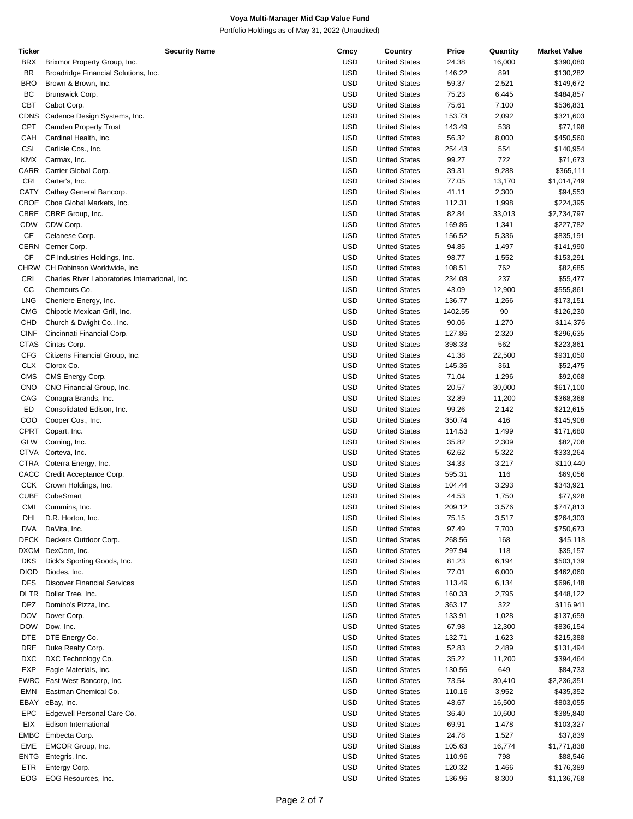| Ticker      | Security Name                                  | Crncy      | Country              | Price   | Quantity | <b>Market Value</b> |
|-------------|------------------------------------------------|------------|----------------------|---------|----------|---------------------|
| <b>BRX</b>  | Brixmor Property Group, Inc.                   | <b>USD</b> | <b>United States</b> | 24.38   | 16,000   | \$390,080           |
| <b>BR</b>   | Broadridge Financial Solutions, Inc.           | <b>USD</b> | <b>United States</b> | 146.22  | 891      | \$130,282           |
| <b>BRO</b>  | Brown & Brown, Inc.                            | <b>USD</b> | <b>United States</b> | 59.37   | 2,521    | \$149,672           |
|             |                                                |            |                      |         |          |                     |
| BC          | Brunswick Corp.                                | <b>USD</b> | <b>United States</b> | 75.23   | 6,445    | \$484,857           |
| <b>CBT</b>  | Cabot Corp.                                    | <b>USD</b> | <b>United States</b> | 75.61   | 7,100    | \$536,831           |
| <b>CDNS</b> | Cadence Design Systems, Inc.                   | <b>USD</b> | <b>United States</b> | 153.73  | 2,092    | \$321,603           |
| <b>CPT</b>  | <b>Camden Property Trust</b>                   | <b>USD</b> | <b>United States</b> | 143.49  | 538      | \$77,198            |
| CAH         | Cardinal Health, Inc.                          | <b>USD</b> | <b>United States</b> | 56.32   | 8,000    | \$450,560           |
| CSL         | Carlisle Cos., Inc.                            | <b>USD</b> | <b>United States</b> | 254.43  | 554      | \$140,954           |
| KMX         |                                                | <b>USD</b> | <b>United States</b> |         | 722      |                     |
|             | Carmax, Inc.                                   |            |                      | 99.27   |          | \$71,673            |
| CARR        | Carrier Global Corp.                           | <b>USD</b> | <b>United States</b> | 39.31   | 9,288    | \$365,111           |
| CRI         | Carter's, Inc.                                 | <b>USD</b> | <b>United States</b> | 77.05   | 13,170   | \$1,014,749         |
| <b>CATY</b> | Cathay General Bancorp.                        | USD        | <b>United States</b> | 41.11   | 2,300    | \$94,553            |
| CBOE        | Cboe Global Markets, Inc.                      | <b>USD</b> | <b>United States</b> | 112.31  | 1,998    | \$224,395           |
| <b>CBRE</b> | CBRE Group, Inc.                               | <b>USD</b> | <b>United States</b> | 82.84   | 33,013   | \$2,734,797         |
| <b>CDW</b>  | CDW Corp.                                      | <b>USD</b> | <b>United States</b> | 169.86  |          | \$227,782           |
|             |                                                |            |                      |         | 1,341    |                     |
| CE          | Celanese Corp.                                 | <b>USD</b> | <b>United States</b> | 156.52  | 5,336    | \$835,191           |
| <b>CERN</b> | Cerner Corp.                                   | <b>USD</b> | <b>United States</b> | 94.85   | 1,497    | \$141,990           |
| CF          | CF Industries Holdings, Inc.                   | <b>USD</b> | <b>United States</b> | 98.77   | 1,552    | \$153,291           |
| CHRW        | CH Robinson Worldwide, Inc.                    | <b>USD</b> | <b>United States</b> | 108.51  | 762      | \$82,685            |
| CRL         | Charles River Laboratories International, Inc. | USD        | <b>United States</b> | 234.08  | 237      | \$55,477            |
| CC          |                                                | <b>USD</b> | <b>United States</b> |         |          |                     |
|             | Chemours Co.                                   |            |                      | 43.09   | 12,900   | \$555,861           |
| <b>LNG</b>  | Cheniere Energy, Inc.                          | <b>USD</b> | <b>United States</b> | 136.77  | 1,266    | \$173,151           |
| <b>CMG</b>  | Chipotle Mexican Grill, Inc.                   | <b>USD</b> | <b>United States</b> | 1402.55 | 90       | \$126,230           |
| CHD         | Church & Dwight Co., Inc.                      | USD        | <b>United States</b> | 90.06   | 1,270    | \$114,376           |
| <b>CINF</b> | Cincinnati Financial Corp.                     | <b>USD</b> | <b>United States</b> | 127.86  | 2,320    | \$296,635           |
| <b>CTAS</b> | Cintas Corp.                                   | <b>USD</b> | <b>United States</b> | 398.33  | 562      | \$223,861           |
| <b>CFG</b>  | Citizens Financial Group, Inc.                 | <b>USD</b> | <b>United States</b> | 41.38   | 22,500   | \$931,050           |
|             |                                                |            |                      |         |          |                     |
| <b>CLX</b>  | Clorox Co.                                     | USD        | <b>United States</b> | 145.36  | 361      | \$52,475            |
| <b>CMS</b>  | CMS Energy Corp.                               | <b>USD</b> | <b>United States</b> | 71.04   | 1,296    | \$92,068            |
| <b>CNO</b>  | CNO Financial Group, Inc.                      | <b>USD</b> | <b>United States</b> | 20.57   | 30,000   | \$617,100           |
| CAG         | Conagra Brands, Inc.                           | <b>USD</b> | <b>United States</b> | 32.89   | 11,200   | \$368,368           |
| ED          | Consolidated Edison, Inc.                      | USD        | <b>United States</b> | 99.26   | 2,142    | \$212,615           |
| COO         | Cooper Cos., Inc.                              | <b>USD</b> | <b>United States</b> | 350.74  | 416      | \$145,908           |
|             |                                                |            |                      |         |          |                     |
| <b>CPRT</b> | Copart, Inc.                                   | <b>USD</b> | <b>United States</b> | 114.53  | 1,499    | \$171,680           |
| GLW         | Corning, Inc.                                  | <b>USD</b> | <b>United States</b> | 35.82   | 2,309    | \$82,708            |
| <b>CTVA</b> | Corteva, Inc.                                  | USD        | <b>United States</b> | 62.62   | 5,322    | \$333,264           |
| <b>CTRA</b> | Coterra Energy, Inc.                           | <b>USD</b> | <b>United States</b> | 34.33   | 3,217    | \$110,440           |
| CACC        | Credit Acceptance Corp.                        | <b>USD</b> | <b>United States</b> | 595.31  | 116      | \$69,056            |
| <b>CCK</b>  | Crown Holdings, Inc.                           | <b>USD</b> | <b>United States</b> | 104.44  | 3,293    | \$343,921           |
|             |                                                |            |                      |         |          |                     |
| <b>CUBE</b> | CubeSmart                                      | <b>USD</b> | <b>United States</b> | 44.53   | 1,750    | \$77,928            |
| CMI         | Cummins, Inc.                                  | <b>USD</b> | <b>United States</b> | 209.12  | 3,576    | \$747,813           |
| DHI         | D.R. Horton, Inc.                              | <b>USD</b> | <b>United States</b> | 75.15   | 3,517    | \$264,303           |
| <b>DVA</b>  | DaVita, Inc.                                   | <b>USD</b> | <b>United States</b> | 97.49   | 7,700    | \$750,673           |
| DECK        | Deckers Outdoor Corp.                          | <b>USD</b> | <b>United States</b> | 268.56  | 168      | \$45,118            |
| DXCM        | DexCom, Inc.                                   | USD        | <b>United States</b> | 297.94  | 118      | \$35,157            |
|             |                                                |            |                      |         |          |                     |
| <b>DKS</b>  | Dick's Sporting Goods, Inc.                    | <b>USD</b> | <b>United States</b> | 81.23   | 6,194    | \$503,139           |
| <b>DIOD</b> | Diodes, Inc.                                   | <b>USD</b> | <b>United States</b> | 77.01   | 6,000    | \$462,060           |
| <b>DFS</b>  | <b>Discover Financial Services</b>             | <b>USD</b> | <b>United States</b> | 113.49  | 6,134    | \$696,148           |
| DLTR        | Dollar Tree, Inc.                              | USD        | <b>United States</b> | 160.33  | 2,795    | \$448,122           |
| <b>DPZ</b>  | Domino's Pizza, Inc.                           | <b>USD</b> | <b>United States</b> | 363.17  | 322      | \$116,941           |
| <b>DOV</b>  | Dover Corp.                                    | <b>USD</b> | <b>United States</b> | 133.91  | 1,028    | \$137,659           |
|             |                                                |            |                      |         |          |                     |
| <b>DOW</b>  | Dow, Inc.                                      | USD        | <b>United States</b> | 67.98   | 12,300   | \$836,154           |
| <b>DTE</b>  | DTE Energy Co.                                 | USD        | <b>United States</b> | 132.71  | 1,623    | \$215,388           |
| <b>DRE</b>  | Duke Realty Corp.                              | <b>USD</b> | <b>United States</b> | 52.83   | 2,489    | \$131,494           |
| <b>DXC</b>  | DXC Technology Co.                             | <b>USD</b> | <b>United States</b> | 35.22   | 11,200   | \$394,464           |
| <b>EXP</b>  | Eagle Materials, Inc.                          | <b>USD</b> | <b>United States</b> | 130.56  | 649      | \$84,733            |
| EWBC        | East West Bancorp, Inc.                        | USD        | <b>United States</b> | 73.54   | 30,410   | \$2,236,351         |
|             |                                                |            |                      |         |          |                     |
| <b>EMN</b>  | Eastman Chemical Co.                           | <b>USD</b> | <b>United States</b> | 110.16  | 3,952    | \$435,352           |
| EBAY        | eBay, Inc.                                     | <b>USD</b> | <b>United States</b> | 48.67   | 16,500   | \$803,055           |
| <b>EPC</b>  | Edgewell Personal Care Co.                     | USD        | <b>United States</b> | 36.40   | 10,600   | \$385,840           |
| EIX         | Edison International                           | USD        | <b>United States</b> | 69.91   | 1,478    | \$103,327           |
| <b>EMBC</b> | Embecta Corp.                                  | <b>USD</b> | <b>United States</b> | 24.78   | 1,527    | \$37,839            |
| EME         | EMCOR Group, Inc.                              | <b>USD</b> | <b>United States</b> | 105.63  | 16,774   | \$1,771,838         |
|             |                                                |            |                      |         |          |                     |
| <b>ENTG</b> | Entegris, Inc.                                 | <b>USD</b> | <b>United States</b> | 110.96  | 798      | \$88,546            |
| ETR         | Entergy Corp.                                  | <b>USD</b> | <b>United States</b> | 120.32  | 1,466    | \$176,389           |
| EOG         | EOG Resources, Inc.                            | <b>USD</b> | <b>United States</b> | 136.96  | 8,300    | \$1,136,768         |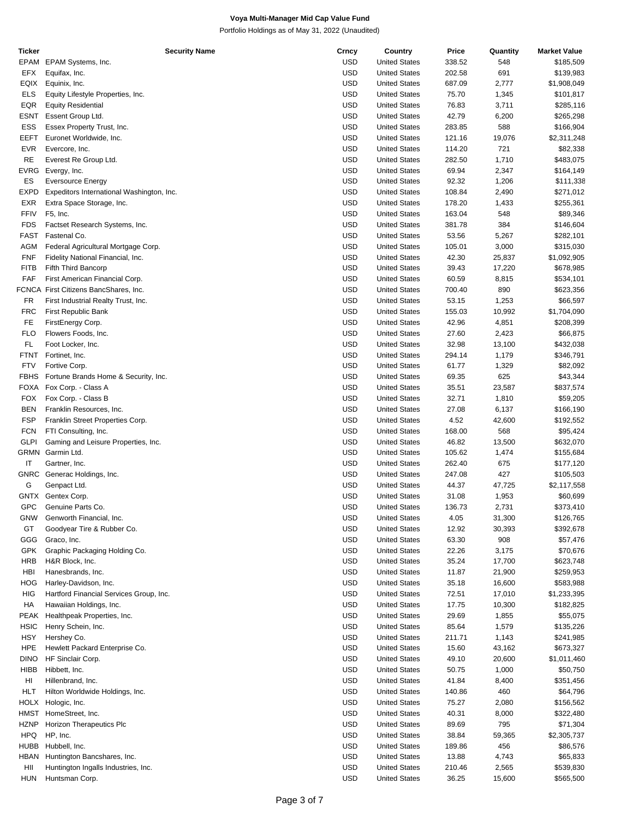| Ticker      | <b>Security Name</b>                      | Crncy      | Country              | Price  | Quantity | <b>Market Value</b> |
|-------------|-------------------------------------------|------------|----------------------|--------|----------|---------------------|
| EPAM        | EPAM Systems, Inc.                        | <b>USD</b> | <b>United States</b> | 338.52 | 548      | \$185,509           |
| EFX         | Equifax, Inc.                             | <b>USD</b> | <b>United States</b> | 202.58 | 691      | \$139,983           |
| EQIX        | Equinix, Inc.                             | <b>USD</b> | <b>United States</b> | 687.09 | 2,777    | \$1,908,049         |
| ELS         | Equity Lifestyle Properties, Inc.         | <b>USD</b> | <b>United States</b> | 75.70  | 1,345    | \$101,817           |
|             |                                           |            |                      |        |          |                     |
| EQR         | <b>Equity Residential</b>                 | <b>USD</b> | <b>United States</b> | 76.83  | 3,711    | \$285,116           |
| <b>ESNT</b> | Essent Group Ltd.                         | <b>USD</b> | <b>United States</b> | 42.79  | 6,200    | \$265,298           |
| ESS         | Essex Property Trust, Inc.                | <b>USD</b> | <b>United States</b> | 283.85 | 588      | \$166,904           |
| EEFT        | Euronet Worldwide, Inc.                   | <b>USD</b> | <b>United States</b> | 121.16 | 19,076   | \$2,311,248         |
| <b>EVR</b>  | Evercore, Inc.                            | <b>USD</b> | <b>United States</b> | 114.20 | 721      | \$82,338            |
| RE          | Everest Re Group Ltd.                     | <b>USD</b> | <b>United States</b> | 282.50 | 1,710    | \$483,075           |
| EVRG        | Evergy, Inc.                              | <b>USD</b> | <b>United States</b> | 69.94  | 2,347    | \$164,149           |
| ES          | <b>Eversource Energy</b>                  | <b>USD</b> | <b>United States</b> | 92.32  | 1,206    | \$111,338           |
| <b>EXPD</b> |                                           | <b>USD</b> | <b>United States</b> | 108.84 | 2,490    |                     |
|             | Expeditors International Washington, Inc. |            |                      |        |          | \$271,012           |
| <b>EXR</b>  | Extra Space Storage, Inc.                 | <b>USD</b> | <b>United States</b> | 178.20 | 1,433    | \$255,361           |
| FFIV        | F5, Inc.                                  | <b>USD</b> | <b>United States</b> | 163.04 | 548      | \$89,346            |
| <b>FDS</b>  | Factset Research Systems, Inc.            | <b>USD</b> | <b>United States</b> | 381.78 | 384      | \$146,604           |
| <b>FAST</b> | Fastenal Co.                              | <b>USD</b> | <b>United States</b> | 53.56  | 5,267    | \$282,101           |
| AGM         | Federal Agricultural Mortgage Corp.       | <b>USD</b> | <b>United States</b> | 105.01 | 3,000    | \$315,030           |
| <b>FNF</b>  | Fidelity National Financial, Inc.         | <b>USD</b> | <b>United States</b> | 42.30  | 25,837   | \$1,092,905         |
| <b>FITB</b> | Fifth Third Bancorp                       | <b>USD</b> | <b>United States</b> | 39.43  | 17,220   | \$678,985           |
| FAF         | First American Financial Corp.            | <b>USD</b> | <b>United States</b> | 60.59  | 8,815    | \$534,101           |
|             | FCNCA First Citizens BancShares, Inc.     | <b>USD</b> | <b>United States</b> | 700.40 | 890      | \$623,356           |
|             |                                           |            |                      |        |          |                     |
| FR          | First Industrial Realty Trust, Inc.       | <b>USD</b> | <b>United States</b> | 53.15  | 1,253    | \$66,597            |
| <b>FRC</b>  | First Republic Bank                       | <b>USD</b> | <b>United States</b> | 155.03 | 10,992   | \$1,704,090         |
| FE.         | FirstEnergy Corp.                         | <b>USD</b> | <b>United States</b> | 42.96  | 4,851    | \$208,399           |
| <b>FLO</b>  | Flowers Foods, Inc.                       | <b>USD</b> | <b>United States</b> | 27.60  | 2,423    | \$66,875            |
| FL.         | Foot Locker, Inc.                         | <b>USD</b> | <b>United States</b> | 32.98  | 13,100   | \$432,038           |
| <b>FTNT</b> | Fortinet, Inc.                            | <b>USD</b> | <b>United States</b> | 294.14 | 1,179    | \$346,791           |
| <b>FTV</b>  | Fortive Corp.                             | <b>USD</b> | <b>United States</b> | 61.77  | 1,329    | \$82,092            |
| <b>FBHS</b> | Fortune Brands Home & Security, Inc.      | <b>USD</b> | <b>United States</b> | 69.35  | 625      | \$43,344            |
|             |                                           |            |                      |        |          |                     |
| FOXA        | Fox Corp. - Class A                       | <b>USD</b> | <b>United States</b> | 35.51  | 23,587   | \$837,574           |
| <b>FOX</b>  | Fox Corp. - Class B                       | <b>USD</b> | <b>United States</b> | 32.71  | 1,810    | \$59,205            |
| <b>BEN</b>  | Franklin Resources, Inc.                  | <b>USD</b> | <b>United States</b> | 27.08  | 6,137    | \$166,190           |
| <b>FSP</b>  | Franklin Street Properties Corp.          | <b>USD</b> | <b>United States</b> | 4.52   | 42,600   | \$192,552           |
| <b>FCN</b>  | FTI Consulting, Inc.                      | <b>USD</b> | <b>United States</b> | 168.00 | 568      | \$95,424            |
| <b>GLPI</b> | Gaming and Leisure Properties, Inc.       | <b>USD</b> | <b>United States</b> | 46.82  | 13,500   | \$632,070           |
| GRMN        | Garmin Ltd.                               | <b>USD</b> | <b>United States</b> | 105.62 | 1,474    | \$155,684           |
| IT          | Gartner, Inc.                             | <b>USD</b> | <b>United States</b> | 262.40 | 675      | \$177,120           |
| GNRC        | Generac Holdings, Inc.                    | <b>USD</b> | <b>United States</b> | 247.08 | 427      | \$105,503           |
| G           | Genpact Ltd.                              | <b>USD</b> | <b>United States</b> | 44.37  | 47,725   | \$2,117,558         |
|             |                                           |            |                      |        |          |                     |
| <b>GNTX</b> | Gentex Corp.                              | USD        | <b>United States</b> | 31.08  | 1,953    | \$60,699            |
| <b>GPC</b>  | Genuine Parts Co.                         | USD        | <b>United States</b> | 136.73 | 2,731    | \$373,410           |
| <b>GNW</b>  | Genworth Financial, Inc.                  | <b>USD</b> | <b>United States</b> | 4.05   | 31,300   | \$126,765           |
| GT          | Goodyear Tire & Rubber Co.                | <b>USD</b> | <b>United States</b> | 12.92  | 30,393   | \$392,678           |
| GGG         | Graco, Inc.                               | <b>USD</b> | <b>United States</b> | 63.30  | 908      | \$57,476            |
| <b>GPK</b>  | Graphic Packaging Holding Co.             | <b>USD</b> | <b>United States</b> | 22.26  | 3,175    | \$70,676            |
| <b>HRB</b>  | H&R Block, Inc.                           | <b>USD</b> | <b>United States</b> | 35.24  | 17,700   | \$623,748           |
| HBI         | Hanesbrands, Inc.                         | <b>USD</b> | <b>United States</b> | 11.87  | 21,900   | \$259,953           |
| HOG         | Harley-Davidson, Inc.                     | <b>USD</b> | <b>United States</b> | 35.18  | 16,600   | \$583,988           |
| HIG         |                                           | <b>USD</b> | <b>United States</b> |        |          |                     |
|             | Hartford Financial Services Group, Inc.   |            |                      | 72.51  | 17,010   | \$1,233,395         |
| HA          | Hawaiian Holdings, Inc.                   | <b>USD</b> | <b>United States</b> | 17.75  | 10,300   | \$182,825           |
| <b>PEAK</b> | Healthpeak Properties, Inc.               | <b>USD</b> | <b>United States</b> | 29.69  | 1,855    | \$55,075            |
| <b>HSIC</b> | Henry Schein, Inc.                        | <b>USD</b> | <b>United States</b> | 85.64  | 1,579    | \$135,226           |
| HSY         | Hershey Co.                               | <b>USD</b> | <b>United States</b> | 211.71 | 1,143    | \$241,985           |
| <b>HPE</b>  | Hewlett Packard Enterprise Co.            | <b>USD</b> | <b>United States</b> | 15.60  | 43,162   | \$673,327           |
| <b>DINO</b> | HF Sinclair Corp.                         | <b>USD</b> | <b>United States</b> | 49.10  | 20,600   | \$1,011,460         |
| HIBB        | Hibbett, Inc.                             | <b>USD</b> | <b>United States</b> | 50.75  | 1,000    | \$50,750            |
| HI          | Hillenbrand, Inc.                         | <b>USD</b> | <b>United States</b> | 41.84  | 8,400    | \$351,456           |
|             |                                           | <b>USD</b> |                      |        |          |                     |
| HLT         | Hilton Worldwide Holdings, Inc.           |            | <b>United States</b> | 140.86 | 460      | \$64,796            |
| <b>HOLX</b> | Hologic, Inc.                             | <b>USD</b> | <b>United States</b> | 75.27  | 2,080    | \$156,562           |
| HMST        | HomeStreet, Inc.                          | <b>USD</b> | <b>United States</b> | 40.31  | 8,000    | \$322,480           |
| <b>HZNP</b> | Horizon Therapeutics Plc                  | <b>USD</b> | <b>United States</b> | 89.69  | 795      | \$71,304            |
| <b>HPQ</b>  | HP, Inc.                                  | <b>USD</b> | <b>United States</b> | 38.84  | 59,365   | \$2,305,737         |
| <b>HUBB</b> | Hubbell, Inc.                             | <b>USD</b> | <b>United States</b> | 189.86 | 456      | \$86,576            |
| HBAN        | Huntington Bancshares, Inc.               | <b>USD</b> | <b>United States</b> | 13.88  | 4,743    | \$65,833            |
| HII         | Huntington Ingalls Industries, Inc.       | <b>USD</b> | <b>United States</b> | 210.46 | 2,565    | \$539,830           |
| <b>HUN</b>  | Huntsman Corp.                            | USD        | <b>United States</b> | 36.25  | 15,600   | \$565,500           |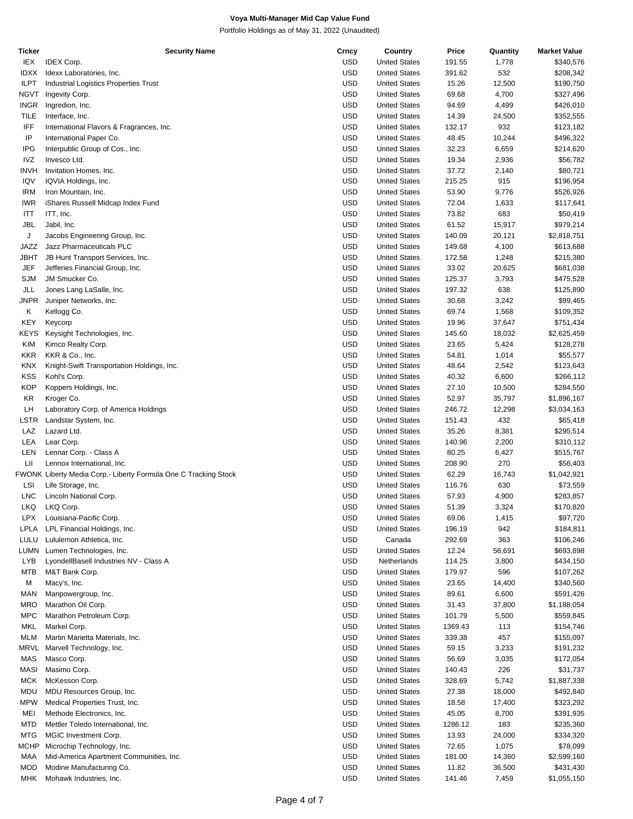| Ticker      | <b>Security Name</b>                                            | Crncy      | Country              | Price   | Quantity | <b>Market Value</b> |
|-------------|-----------------------------------------------------------------|------------|----------------------|---------|----------|---------------------|
| IEX         | <b>IDEX Corp.</b>                                               | <b>USD</b> | <b>United States</b> | 191.55  | 1,778    | \$340,576           |
| <b>IDXX</b> | Idexx Laboratories, Inc.                                        | <b>USD</b> | <b>United States</b> | 391.62  | 532      | \$208,342           |
| <b>ILPT</b> | Industrial Logistics Properties Trust                           | <b>USD</b> | <b>United States</b> | 15.26   | 12,500   | \$190,750           |
| NGVT        | Ingevity Corp.                                                  | USD        | <b>United States</b> | 69.68   | 4,700    | \$327,496           |
|             |                                                                 |            |                      |         |          |                     |
| <b>INGR</b> | Ingredion, Inc.                                                 | <b>USD</b> | <b>United States</b> | 94.69   | 4,499    | \$426,010           |
| <b>TILE</b> | Interface, Inc.                                                 | USD        | <b>United States</b> | 14.39   | 24,500   | \$352,555           |
| IFF         | International Flavors & Fragrances, Inc.                        | <b>USD</b> | <b>United States</b> | 132.17  | 932      | \$123,182           |
| IP          | International Paper Co.                                         | USD        | <b>United States</b> | 48.45   | 10,244   | \$496,322           |
| IPG         | Interpublic Group of Cos., Inc.                                 | <b>USD</b> | <b>United States</b> | 32.23   | 6,659    | \$214,620           |
| IVZ         | Invesco Ltd.                                                    | <b>USD</b> | <b>United States</b> | 19.34   | 2,936    | \$56,782            |
| <b>INVH</b> | Invitation Homes, Inc.                                          | <b>USD</b> | <b>United States</b> | 37.72   | 2,140    | \$80,721            |
|             |                                                                 |            |                      |         |          |                     |
| IQV         | IQVIA Holdings, Inc.                                            | USD        | <b>United States</b> | 215.25  | 915      | \$196,954           |
| IRM         | Iron Mountain, Inc.                                             | <b>USD</b> | <b>United States</b> | 53.90   | 9,776    | \$526,926           |
| <b>IWR</b>  | iShares Russell Midcap Index Fund                               | <b>USD</b> | <b>United States</b> | 72.04   | 1,633    | \$117,641           |
| ITT         | ITT, Inc.                                                       | <b>USD</b> | <b>United States</b> | 73.82   | 683      | \$50,419            |
| JBL         | Jabil, Inc.                                                     | USD        | <b>United States</b> | 61.52   | 15,917   | \$979,214           |
| J           | Jacobs Engineering Group, Inc.                                  | <b>USD</b> | <b>United States</b> | 140.09  | 20,121   | \$2,818,751         |
| JAZZ        | Jazz Pharmaceuticals PLC                                        | <b>USD</b> | <b>United States</b> | 149.68  | 4,100    | \$613,688           |
|             |                                                                 |            |                      |         |          |                     |
| JBHT        | JB Hunt Transport Services, Inc.                                | <b>USD</b> | <b>United States</b> | 172.58  | 1,248    | \$215,380           |
| JEF         | Jefferies Financial Group, Inc.                                 | USD        | <b>United States</b> | 33.02   | 20,625   | \$681,038           |
| <b>SJM</b>  | JM Smucker Co.                                                  | <b>USD</b> | <b>United States</b> | 125.37  | 3,793    | \$475,528           |
| JLL         | Jones Lang LaSalle, Inc.                                        | <b>USD</b> | <b>United States</b> | 197.32  | 638      | \$125,890           |
| JNPR        | Juniper Networks, Inc.                                          | <b>USD</b> | <b>United States</b> | 30.68   | 3,242    | \$99,465            |
| Κ           | Kellogg Co.                                                     | USD        | <b>United States</b> | 69.74   | 1,568    | \$109,352           |
| KEY         | Keycorp                                                         | <b>USD</b> | <b>United States</b> | 19.96   | 37,647   | \$751,434           |
|             |                                                                 |            |                      |         |          |                     |
| <b>KEYS</b> | Keysight Technologies, Inc.                                     | <b>USD</b> | <b>United States</b> | 145.60  | 18,032   | \$2,625,459         |
| KIM         | Kimco Realty Corp.                                              | <b>USD</b> | <b>United States</b> | 23.65   | 5,424    | \$128,278           |
| KKR         | KKR & Co., Inc.                                                 | USD        | <b>United States</b> | 54.81   | 1,014    | \$55,577            |
| KNX         | Knight-Swift Transportation Holdings, Inc.                      | <b>USD</b> | <b>United States</b> | 48.64   | 2,542    | \$123,643           |
| <b>KSS</b>  | Kohl's Corp.                                                    | <b>USD</b> | <b>United States</b> | 40.32   | 6,600    | \$266,112           |
| <b>KOP</b>  | Koppers Holdings, Inc.                                          | <b>USD</b> | <b>United States</b> | 27.10   | 10,500   | \$284,550           |
|             |                                                                 |            |                      |         |          |                     |
| KR          | Kroger Co.                                                      | USD        | <b>United States</b> | 52.97   | 35,797   | \$1,896,167         |
| LH          | Laboratory Corp. of America Holdings                            | <b>USD</b> | <b>United States</b> | 246.72  | 12,298   | \$3,034,163         |
| LSTR        | Landstar System, Inc.                                           | <b>USD</b> | <b>United States</b> | 151.43  | 432      | \$65,418            |
| LAZ         | Lazard Ltd.                                                     | <b>USD</b> | <b>United States</b> | 35.26   | 8,381    | \$295,514           |
| LEA         | Lear Corp.                                                      | USD        | <b>United States</b> | 140.96  | 2,200    | \$310,112           |
| LEN         | Lennar Corp. - Class A                                          | <b>USD</b> | <b>United States</b> | 80.25   | 6,427    | \$515,767           |
| LІІ         | Lennox International, Inc.                                      | USD        | <b>United States</b> | 208.90  | 270      | \$56,403            |
|             |                                                                 |            |                      |         |          |                     |
|             | FWONK Liberty Media Corp.- Liberty Formula One C Tracking Stock | <b>USD</b> | <b>United States</b> | 62.29   | 16,743   | \$1,042,921         |
| LSI         | Life Storage, Inc.                                              | USD        | <b>United States</b> | 116.76  | 630      | \$73,559            |
| <b>LNC</b>  | Lincoln National Corp.                                          | USD        | <b>United States</b> | 57.93   | 4,900    | \$283,857           |
| LKQ         | LKQ Corp.                                                       | <b>USD</b> | <b>United States</b> | 51.39   | 3,324    | \$170,820           |
| <b>LPX</b>  | Louisiana-Pacific Corp.                                         | <b>USD</b> | <b>United States</b> | 69.06   | 1,415    | \$97,720            |
| LPLA        | LPL Financial Holdings, Inc.                                    | <b>USD</b> | <b>United States</b> | 196.19  | 942      | \$184,811           |
|             |                                                                 |            |                      |         |          |                     |
| LULU        | Lululemon Athletica, Inc.                                       | <b>USD</b> | Canada               | 292.69  | 363      | \$106,246           |
| LUMN        | Lumen Technologies, Inc.                                        | <b>USD</b> | <b>United States</b> | 12.24   | 56,691   | \$693,898           |
| <b>LYB</b>  | LyondellBasell Industries NV - Class A                          | <b>USD</b> | Netherlands          | 114.25  | 3,800    | \$434,150           |
| <b>MTB</b>  | M&T Bank Corp.                                                  | <b>USD</b> | <b>United States</b> | 179.97  | 596      | \$107,262           |
| M           | Macy's, Inc.                                                    | <b>USD</b> | <b>United States</b> | 23.65   | 14,400   | \$340,560           |
| MAN         | Manpowergroup, Inc.                                             | <b>USD</b> | <b>United States</b> | 89.61   | 6,600    | \$591,426           |
| MRO         | Marathon Oil Corp.                                              | <b>USD</b> | <b>United States</b> | 31.43   | 37,800   | \$1,188,054         |
|             |                                                                 |            |                      |         |          |                     |
| MPC         | Marathon Petroleum Corp.                                        | <b>USD</b> | <b>United States</b> | 101.79  | 5,500    | \$559,845           |
| MKL         | Markel Corp.                                                    | <b>USD</b> | <b>United States</b> | 1369.43 | 113      | \$154,746           |
| MLM         | Martin Marietta Materials, Inc.                                 | <b>USD</b> | <b>United States</b> | 339.38  | 457      | \$155,097           |
| MRVL        | Marvell Technology, Inc.                                        | <b>USD</b> | <b>United States</b> | 59.15   | 3,233    | \$191,232           |
| MAS         | Masco Corp.                                                     | <b>USD</b> | <b>United States</b> | 56.69   | 3,035    | \$172,054           |
| MASI        | Masimo Corp.                                                    | <b>USD</b> | <b>United States</b> | 140.43  | 226      | \$31,737            |
| MCK         | McKesson Corp.                                                  | <b>USD</b> | <b>United States</b> | 328.69  | 5,742    | \$1,887,338         |
|             |                                                                 |            |                      |         |          |                     |
| MDU         | MDU Resources Group, Inc.                                       | <b>USD</b> | <b>United States</b> | 27.38   | 18,000   | \$492,840           |
| <b>MPW</b>  | Medical Properties Trust, Inc.                                  | <b>USD</b> | <b>United States</b> | 18.58   | 17,400   | \$323,292           |
| MEI         | Methode Electronics, Inc.                                       | <b>USD</b> | <b>United States</b> | 45.05   | 8,700    | \$391,935           |
| MTD         | Mettler Toledo International, Inc.                              | <b>USD</b> | <b>United States</b> | 1286.12 | 183      | \$235,360           |
| MTG         | MGIC Investment Corp.                                           | <b>USD</b> | <b>United States</b> | 13.93   | 24,000   | \$334,320           |
| MCHP        | Microchip Technology, Inc.                                      | <b>USD</b> | <b>United States</b> | 72.65   | 1,075    | \$78,099            |
|             |                                                                 |            |                      |         |          |                     |
| MAA         | Mid-America Apartment Communities, Inc.                         | <b>USD</b> | <b>United States</b> | 181.00  | 14,360   | \$2,599,160         |
| MOD         | Modine Manufacturing Co.                                        | <b>USD</b> | <b>United States</b> | 11.82   | 36,500   | \$431,430           |
| MHK.        | Mohawk Industries, Inc.                                         | <b>USD</b> | <b>United States</b> | 141.46  | 7,459    | \$1,055,150         |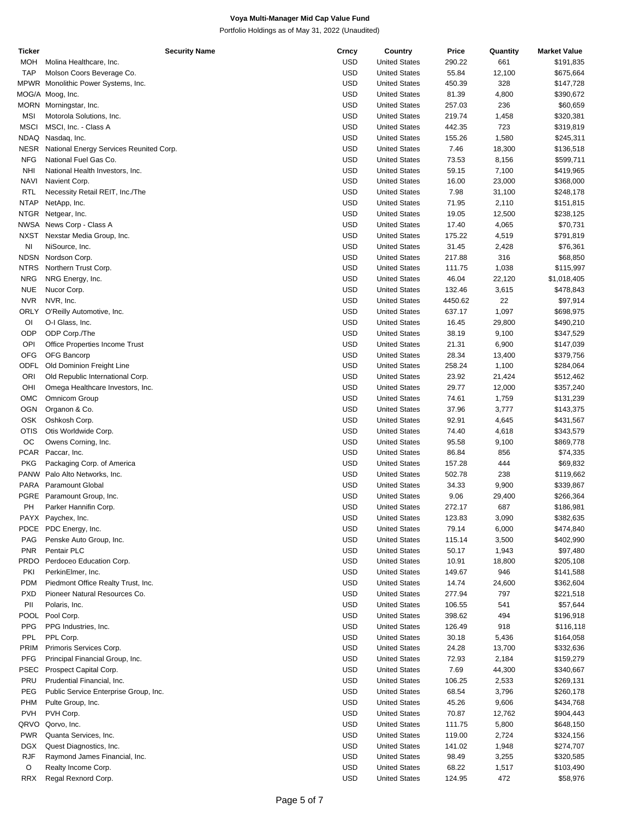| Ticker      | <b>Security Name</b>                    | Crncy      | Country              | Price   | Quantity | <b>Market Value</b> |
|-------------|-----------------------------------------|------------|----------------------|---------|----------|---------------------|
| <b>MOH</b>  | Molina Healthcare, Inc.                 | <b>USD</b> | <b>United States</b> | 290.22  | 661      | \$191,835           |
| <b>TAP</b>  | Molson Coors Beverage Co.               | <b>USD</b> | <b>United States</b> | 55.84   | 12,100   | \$675,664           |
|             | MPWR Monolithic Power Systems, Inc.     | <b>USD</b> | <b>United States</b> | 450.39  | 328      | \$147,728           |
|             | MOG/A Moog, Inc.                        | <b>USD</b> | <b>United States</b> | 81.39   | 4,800    | \$390,672           |
|             | MORN Morningstar, Inc.                  | <b>USD</b> | <b>United States</b> | 257.03  | 236      | \$60,659            |
| <b>MSI</b>  | Motorola Solutions, Inc.                | <b>USD</b> | <b>United States</b> | 219.74  | 1,458    | \$320,381           |
|             |                                         |            |                      |         |          |                     |
| <b>MSCI</b> | MSCI, Inc. - Class A                    | <b>USD</b> | <b>United States</b> | 442.35  | 723      | \$319,819           |
|             | NDAQ Nasdaq, Inc.                       | <b>USD</b> | <b>United States</b> | 155.26  | 1,580    | \$245,311           |
| <b>NESR</b> | National Energy Services Reunited Corp. | <b>USD</b> | <b>United States</b> | 7.46    | 18,300   | \$136,518           |
| <b>NFG</b>  | National Fuel Gas Co.                   | <b>USD</b> | <b>United States</b> | 73.53   | 8,156    | \$599,711           |
| <b>NHI</b>  | National Health Investors, Inc.         | <b>USD</b> | <b>United States</b> | 59.15   | 7,100    | \$419,965           |
| <b>NAVI</b> | Navient Corp.                           | <b>USD</b> | <b>United States</b> | 16.00   | 23,000   | \$368,000           |
| <b>RTL</b>  | Necessity Retail REIT, Inc./The         | <b>USD</b> | <b>United States</b> | 7.98    | 31,100   | \$248,178           |
| <b>NTAP</b> | NetApp, Inc.                            | <b>USD</b> | <b>United States</b> | 71.95   | 2,110    | \$151,815           |
| <b>NTGR</b> | Netgear, Inc.                           | <b>USD</b> | <b>United States</b> | 19.05   | 12,500   | \$238,125           |
|             | NWSA News Corp - Class A                | <b>USD</b> | <b>United States</b> | 17.40   | 4,065    | \$70,731            |
| <b>NXST</b> | Nexstar Media Group, Inc.               | <b>USD</b> | <b>United States</b> | 175.22  | 4,519    | \$791,819           |
| NI          | NiSource, Inc.                          | <b>USD</b> | <b>United States</b> | 31.45   | 2,428    | \$76,361            |
| <b>NDSN</b> |                                         | <b>USD</b> | <b>United States</b> |         |          |                     |
|             | Nordson Corp.                           |            |                      | 217.88  | 316      | \$68,850            |
| <b>NTRS</b> | Northern Trust Corp.                    | <b>USD</b> | <b>United States</b> | 111.75  | 1,038    | \$115,997           |
| <b>NRG</b>  | NRG Energy, Inc.                        | <b>USD</b> | <b>United States</b> | 46.04   | 22,120   | \$1,018,405         |
| <b>NUE</b>  | Nucor Corp.                             | <b>USD</b> | <b>United States</b> | 132.46  | 3,615    | \$478,843           |
| <b>NVR</b>  | NVR, Inc.                               | <b>USD</b> | <b>United States</b> | 4450.62 | 22       | \$97,914            |
| ORLY        | O'Reilly Automotive, Inc.               | <b>USD</b> | <b>United States</b> | 637.17  | 1,097    | \$698,975           |
| OI          | O-I Glass, Inc.                         | <b>USD</b> | <b>United States</b> | 16.45   | 29,800   | \$490,210           |
| ODP         | ODP Corp./The                           | <b>USD</b> | <b>United States</b> | 38.19   | 9,100    | \$347,529           |
| OPI         | Office Properties Income Trust          | <b>USD</b> | <b>United States</b> | 21.31   | 6,900    | \$147,039           |
| <b>OFG</b>  | OFG Bancorp                             | <b>USD</b> | <b>United States</b> | 28.34   | 13,400   | \$379,756           |
| <b>ODFL</b> | Old Dominion Freight Line               | <b>USD</b> | <b>United States</b> | 258.24  | 1,100    | \$284,064           |
| ORI         | Old Republic International Corp.        | <b>USD</b> | <b>United States</b> | 23.92   | 21,424   | \$512,462           |
| OHI         |                                         | <b>USD</b> | <b>United States</b> | 29.77   | 12,000   | \$357,240           |
|             | Omega Healthcare Investors, Inc.        |            |                      |         |          |                     |
| OMC         | Omnicom Group                           | <b>USD</b> | <b>United States</b> | 74.61   | 1,759    | \$131,239           |
| <b>OGN</b>  | Organon & Co.                           | <b>USD</b> | <b>United States</b> | 37.96   | 3,777    | \$143,375           |
| <b>OSK</b>  | Oshkosh Corp.                           | <b>USD</b> | <b>United States</b> | 92.91   | 4,645    | \$431,567           |
| <b>OTIS</b> | Otis Worldwide Corp.                    | <b>USD</b> | <b>United States</b> | 74.40   | 4,618    | \$343,579           |
| OC          | Owens Corning, Inc.                     | <b>USD</b> | <b>United States</b> | 95.58   | 9,100    | \$869,778           |
|             | PCAR Paccar, Inc.                       | <b>USD</b> | <b>United States</b> | 86.84   | 856      | \$74,335            |
| <b>PKG</b>  | Packaging Corp. of America              | <b>USD</b> | <b>United States</b> | 157.28  | 444      | \$69,832            |
|             | PANW Palo Alto Networks, Inc.           | <b>USD</b> | <b>United States</b> | 502.78  | 238      | \$119,662           |
|             | PARA Paramount Global                   | <b>USD</b> | <b>United States</b> | 34.33   | 9,900    | \$339,867           |
|             | PGRE Paramount Group, Inc.              | <b>USD</b> | <b>United States</b> | 9.06    | 29,400   | \$266,364           |
| PН          | Parker Hannifin Corp.                   | <b>USD</b> | <b>United States</b> | 272.17  | 687      | \$186,981           |
|             |                                         | <b>USD</b> | <b>United States</b> | 123.83  | 3,090    |                     |
|             | PAYX Paychex, Inc.                      |            |                      |         |          | \$382,635           |
|             | PDCE PDC Energy, Inc.                   | <b>USD</b> | <b>United States</b> | 79.14   | 6,000    | \$474,840           |
| PAG         | Penske Auto Group, Inc.                 | <b>USD</b> | <b>United States</b> | 115.14  | 3,500    | \$402,990           |
| <b>PNR</b>  | Pentair PLC                             | <b>USD</b> | <b>United States</b> | 50.17   | 1,943    | \$97,480            |
|             | PRDO Perdoceo Education Corp.           | <b>USD</b> | <b>United States</b> | 10.91   | 18,800   | \$205,108           |
| PKI         | PerkinElmer, Inc.                       | <b>USD</b> | <b>United States</b> | 149.67  | 946      | \$141,588           |
| <b>PDM</b>  | Piedmont Office Realty Trust, Inc.      | <b>USD</b> | <b>United States</b> | 14.74   | 24,600   | \$362,604           |
| <b>PXD</b>  | Pioneer Natural Resources Co.           | <b>USD</b> | <b>United States</b> | 277.94  | 797      | \$221,518           |
| PII         | Polaris, Inc.                           | <b>USD</b> | <b>United States</b> | 106.55  | 541      | \$57,644            |
|             | POOL Pool Corp.                         | <b>USD</b> | <b>United States</b> | 398.62  | 494      | \$196,918           |
| <b>PPG</b>  | PPG Industries, Inc.                    | <b>USD</b> | <b>United States</b> | 126.49  | 918      | \$116,118           |
| PPL         | PPL Corp.                               | <b>USD</b> | <b>United States</b> | 30.18   | 5,436    | \$164,058           |
| PRIM        | Primoris Services Corp.                 | <b>USD</b> | <b>United States</b> | 24.28   |          | \$332,636           |
|             |                                         |            |                      |         | 13,700   |                     |
| <b>PFG</b>  | Principal Financial Group, Inc.         | <b>USD</b> | <b>United States</b> | 72.93   | 2,184    | \$159,279           |
| <b>PSEC</b> | Prospect Capital Corp.                  | <b>USD</b> | <b>United States</b> | 7.69    | 44,300   | \$340,667           |
| PRU         | Prudential Financial, Inc.              | <b>USD</b> | <b>United States</b> | 106.25  | 2,533    | \$269,131           |
| PEG         | Public Service Enterprise Group, Inc.   | <b>USD</b> | <b>United States</b> | 68.54   | 3,796    | \$260,178           |
| PHM         | Pulte Group, Inc.                       | <b>USD</b> | <b>United States</b> | 45.26   | 9,606    | \$434,768           |
| <b>PVH</b>  | PVH Corp.                               | <b>USD</b> | <b>United States</b> | 70.87   | 12,762   | \$904,443           |
|             | QRVO Qorvo, Inc.                        | <b>USD</b> | <b>United States</b> | 111.75  | 5,800    | \$648,150           |
| <b>PWR</b>  | Quanta Services, Inc.                   | <b>USD</b> | <b>United States</b> | 119.00  | 2,724    | \$324,156           |
| <b>DGX</b>  | Quest Diagnostics, Inc.                 | <b>USD</b> | <b>United States</b> | 141.02  | 1,948    | \$274,707           |
| <b>RJF</b>  | Raymond James Financial, Inc.           | <b>USD</b> | <b>United States</b> | 98.49   | 3,255    | \$320,585           |
| O           |                                         | <b>USD</b> |                      | 68.22   |          |                     |
|             | Realty Income Corp.                     |            | <b>United States</b> |         | 1,517    | \$103,490           |
| RRX         | Regal Rexnord Corp.                     | <b>USD</b> | <b>United States</b> | 124.95  | 472      | \$58,976            |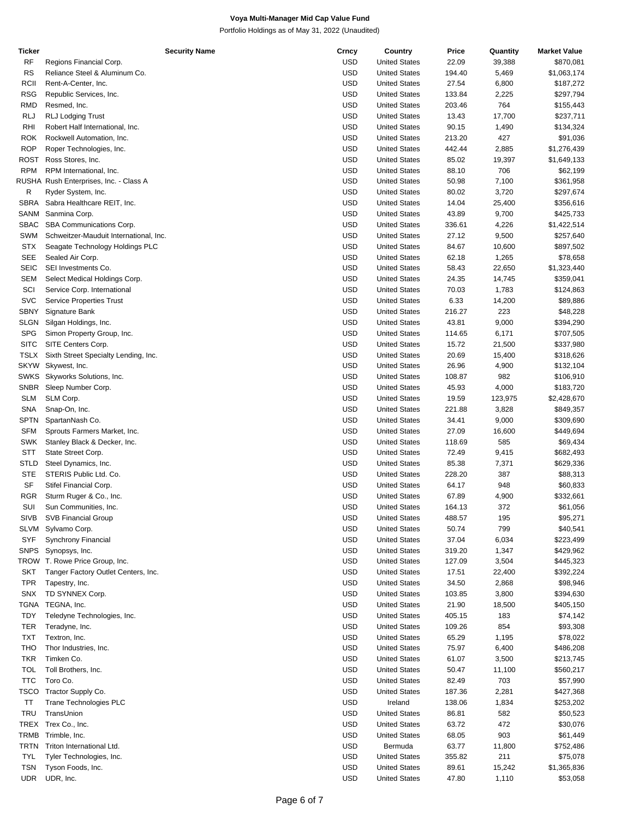| Ticker      | <b>Security Name</b>                   | Crncy      | Country              | Price  | Quantity | <b>Market Value</b> |
|-------------|----------------------------------------|------------|----------------------|--------|----------|---------------------|
| RF          | Regions Financial Corp.                | <b>USD</b> | <b>United States</b> | 22.09  | 39,388   | \$870,081           |
| <b>RS</b>   | Reliance Steel & Aluminum Co.          | <b>USD</b> | <b>United States</b> | 194.40 | 5,469    | \$1,063,174         |
| RCII        | Rent-A-Center, Inc.                    | <b>USD</b> | <b>United States</b> | 27.54  | 6,800    | \$187,272           |
| RSG         | Republic Services, Inc.                | <b>USD</b> | <b>United States</b> | 133.84 | 2,225    | \$297,794           |
| RMD         | Resmed, Inc.                           | <b>USD</b> | <b>United States</b> | 203.46 | 764      | \$155,443           |
| <b>RLJ</b>  | <b>RLJ Lodging Trust</b>               | <b>USD</b> | <b>United States</b> | 13.43  | 17,700   | \$237,711           |
| RHI         | Robert Half International, Inc.        | <b>USD</b> | <b>United States</b> | 90.15  | 1,490    | \$134,324           |
| <b>ROK</b>  | Rockwell Automation, Inc.              | <b>USD</b> | <b>United States</b> | 213.20 | 427      | \$91,036            |
| <b>ROP</b>  | Roper Technologies, Inc.               | <b>USD</b> | <b>United States</b> | 442.44 | 2,885    | \$1,276,439         |
| ROST        | Ross Stores, Inc.                      | <b>USD</b> | <b>United States</b> | 85.02  | 19,397   | \$1,649,133         |
|             |                                        |            |                      |        |          |                     |
| <b>RPM</b>  | RPM International, Inc.                | <b>USD</b> | <b>United States</b> | 88.10  | 706      | \$62,199            |
|             | RUSHA Rush Enterprises, Inc. - Class A | <b>USD</b> | <b>United States</b> | 50.98  | 7,100    | \$361,958           |
| R           | Ryder System, Inc.                     | <b>USD</b> | <b>United States</b> | 80.02  | 3,720    | \$297,674           |
| <b>SBRA</b> | Sabra Healthcare REIT, Inc.            | <b>USD</b> | <b>United States</b> | 14.04  | 25,400   | \$356,616           |
| SANM        | Sanmina Corp.                          | <b>USD</b> | <b>United States</b> | 43.89  | 9,700    | \$425,733           |
| SBAC        | SBA Communications Corp.               | <b>USD</b> | <b>United States</b> | 336.61 | 4,226    | \$1,422,514         |
| SWM         | Schweitzer-Mauduit International, Inc. | <b>USD</b> | <b>United States</b> | 27.12  | 9,500    | \$257,640           |
| <b>STX</b>  | Seagate Technology Holdings PLC        | <b>USD</b> | <b>United States</b> | 84.67  | 10,600   | \$897,502           |
| <b>SEE</b>  | Sealed Air Corp.                       | <b>USD</b> | <b>United States</b> | 62.18  | 1,265    | \$78,658            |
| <b>SEIC</b> | SEI Investments Co.                    | <b>USD</b> | <b>United States</b> | 58.43  | 22,650   | \$1,323,440         |
| SEM         | Select Medical Holdings Corp.          | <b>USD</b> | <b>United States</b> | 24.35  | 14,745   | \$359,041           |
| SCI         | Service Corp. International            | <b>USD</b> | <b>United States</b> | 70.03  | 1,783    | \$124,863           |
| <b>SVC</b>  | <b>Service Properties Trust</b>        | <b>USD</b> | <b>United States</b> | 6.33   | 14,200   | \$89,886            |
| SBNY        | Signature Bank                         | <b>USD</b> | <b>United States</b> | 216.27 | 223      | \$48,228            |
| SLGN        |                                        | <b>USD</b> | <b>United States</b> | 43.81  | 9,000    |                     |
|             | Silgan Holdings, Inc.                  |            |                      |        |          | \$394,290           |
| <b>SPG</b>  | Simon Property Group, Inc.             | <b>USD</b> | <b>United States</b> | 114.65 | 6,171    | \$707,505           |
| SITC        | SITE Centers Corp.                     | <b>USD</b> | <b>United States</b> | 15.72  | 21,500   | \$337,980           |
| <b>TSLX</b> | Sixth Street Specialty Lending, Inc.   | <b>USD</b> | <b>United States</b> | 20.69  | 15,400   | \$318,626           |
| <b>SKYW</b> | Skywest, Inc.                          | <b>USD</b> | <b>United States</b> | 26.96  | 4,900    | \$132,104           |
| <b>SWKS</b> | Skyworks Solutions, Inc.               | <b>USD</b> | <b>United States</b> | 108.87 | 982      | \$106,910           |
| SNBR        | Sleep Number Corp.                     | <b>USD</b> | <b>United States</b> | 45.93  | 4,000    | \$183,720           |
| <b>SLM</b>  | SLM Corp.                              | <b>USD</b> | <b>United States</b> | 19.59  | 123,975  | \$2,428,670         |
| SNA         | Snap-On, Inc.                          | <b>USD</b> | <b>United States</b> | 221.88 | 3,828    | \$849,357           |
| SPTN        | SpartanNash Co.                        | <b>USD</b> | <b>United States</b> | 34.41  | 9,000    | \$309,690           |
| <b>SFM</b>  | Sprouts Farmers Market, Inc.           | <b>USD</b> | <b>United States</b> | 27.09  | 16,600   | \$449,694           |
| SWK         | Stanley Black & Decker, Inc.           | <b>USD</b> | <b>United States</b> | 118.69 | 585      | \$69,434            |
| <b>STT</b>  | State Street Corp.                     | <b>USD</b> | <b>United States</b> | 72.49  | 9,415    | \$682,493           |
| STLD        | Steel Dynamics, Inc.                   | <b>USD</b> | <b>United States</b> | 85.38  | 7,371    | \$629,336           |
| <b>STE</b>  | STERIS Public Ltd. Co.                 | <b>USD</b> | <b>United States</b> | 228.20 | 387      | \$88,313            |
|             |                                        |            |                      |        |          |                     |
| SF          | Stifel Financial Corp.                 | <b>USD</b> | <b>United States</b> | 64.17  | 948      | \$60,833            |
| RGR         | Sturm Ruger & Co., Inc.                | <b>USD</b> | <b>United States</b> | 67.89  | 4,900    | \$332,661           |
| SUI         | Sun Communities, Inc.                  | <b>USD</b> | <b>United States</b> | 164.13 | 372      | \$61,056            |
| <b>SIVB</b> | <b>SVB Financial Group</b>             | <b>USD</b> | <b>United States</b> | 488.57 | 195      | \$95,271            |
| SLVM        | Sylvamo Corp.                          | <b>USD</b> | <b>United States</b> | 50.74  | 799      | \$40,541            |
| SYF         | <b>Synchrony Financial</b>             | <b>USD</b> | <b>United States</b> | 37.04  | 6,034    | \$223,499           |
| <b>SNPS</b> | Synopsys, Inc.                         | <b>USD</b> | <b>United States</b> | 319.20 | 1,347    | \$429,962           |
|             | TROW T. Rowe Price Group, Inc.         | <b>USD</b> | <b>United States</b> | 127.09 | 3,504    | \$445,323           |
| SKT         | Tanger Factory Outlet Centers, Inc.    | <b>USD</b> | <b>United States</b> | 17.51  | 22,400   | \$392,224           |
| <b>TPR</b>  | Tapestry, Inc.                         | <b>USD</b> | <b>United States</b> | 34.50  | 2,868    | \$98,946            |
| SNX         | TD SYNNEX Corp.                        | <b>USD</b> | <b>United States</b> | 103.85 | 3,800    | \$394,630           |
| TGNA        | TEGNA, Inc.                            | <b>USD</b> | <b>United States</b> | 21.90  | 18,500   | \$405,150           |
| TDY         | Teledyne Technologies, Inc.            | <b>USD</b> | <b>United States</b> | 405.15 | 183      | \$74,142            |
| TER         | Teradyne, Inc.                         | <b>USD</b> | <b>United States</b> | 109.26 | 854      | \$93,308            |
| <b>TXT</b>  | Textron, Inc.                          | <b>USD</b> | <b>United States</b> | 65.29  | 1,195    | \$78,022            |
| THO         |                                        | <b>USD</b> | <b>United States</b> | 75.97  |          |                     |
|             | Thor Industries, Inc.                  |            |                      |        | 6,400    | \$486,208           |
| <b>TKR</b>  | Timken Co.                             | <b>USD</b> | <b>United States</b> | 61.07  | 3,500    | \$213,745           |
| <b>TOL</b>  | Toll Brothers, Inc.                    | <b>USD</b> | <b>United States</b> | 50.47  | 11,100   | \$560,217           |
| <b>TTC</b>  | Toro Co.                               | <b>USD</b> | <b>United States</b> | 82.49  | 703      | \$57,990            |
| TSCO        | Tractor Supply Co.                     | <b>USD</b> | <b>United States</b> | 187.36 | 2,281    | \$427,368           |
| ΤT          | Trane Technologies PLC                 | <b>USD</b> | Ireland              | 138.06 | 1,834    | \$253,202           |
| TRU         | TransUnion                             | <b>USD</b> | <b>United States</b> | 86.81  | 582      | \$50,523            |
| TREX        | Trex Co., Inc.                         | <b>USD</b> | <b>United States</b> | 63.72  | 472      | \$30,076            |
| TRMB        | Trimble, Inc.                          | <b>USD</b> | <b>United States</b> | 68.05  | 903      | \$61,449            |
| TRTN        | Triton International Ltd.              | <b>USD</b> | Bermuda              | 63.77  | 11,800   | \$752,486           |
| <b>TYL</b>  | Tyler Technologies, Inc.               | <b>USD</b> | <b>United States</b> | 355.82 | 211      | \$75,078            |
| <b>TSN</b>  | Tyson Foods, Inc.                      | <b>USD</b> | <b>United States</b> | 89.61  | 15,242   | \$1,365,836         |
| <b>UDR</b>  | UDR, Inc.                              | <b>USD</b> | <b>United States</b> | 47.80  | 1,110    | \$53,058            |
|             |                                        |            |                      |        |          |                     |